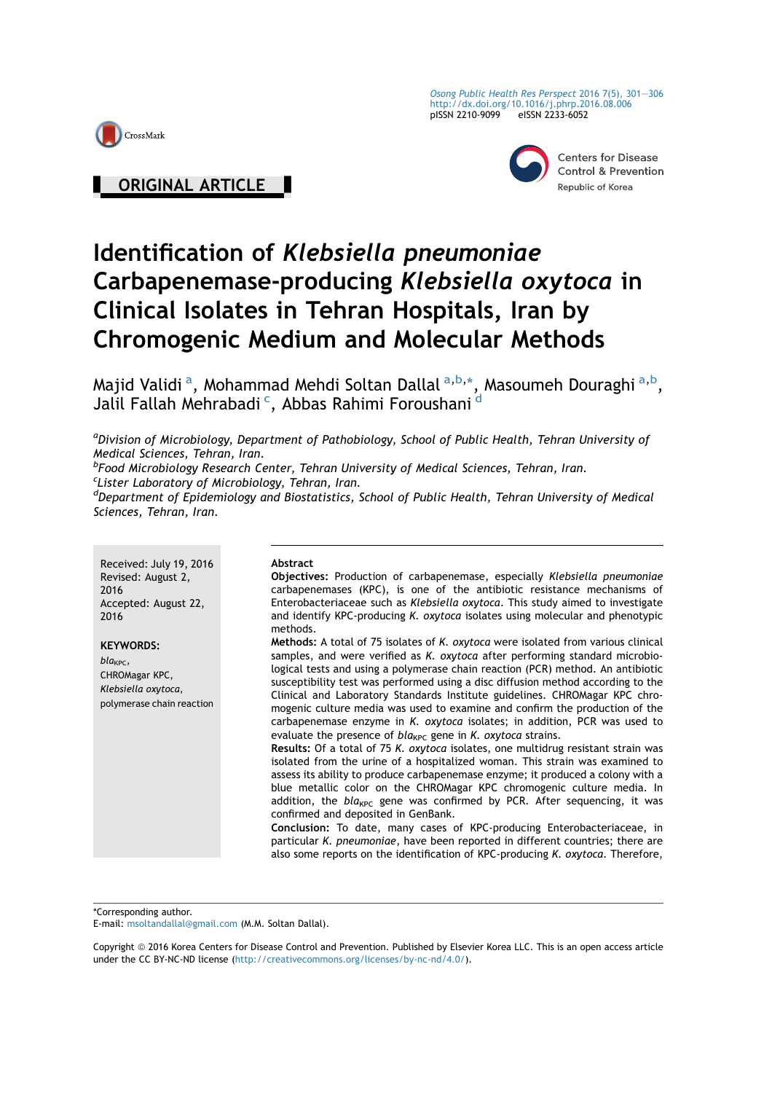

ORIGINAL ARTICLE |

[Osong Public Health Res Perspect](http://dx.doi.org/10.1016/j.phrp.2016.08.006) 2016 7(5), 301-[306](http://dx.doi.org/10.1016/j.phrp.2016.08.006) <http://dx.doi.org/10.1016/j.phrp.2016.08.006> pISSN 2210-9099 eISSN 2233-6052



**Centers for Disease Control & Prevention** Republic of Korea

# Identification of Klebsiella pneumoniae Carbapenemase-producing Klebsiella oxytoca in Clinical Isolates in Tehran Hospitals, Iran by Chromogenic Medium and Molecular Methods

Majid Validi <sup>a</sup>, Mohammad Mehdi Soltan Dallal <sup>a,b,</sup>\*, Masoumeh Douraghi <sup>a,b</sup>, Jalil Fallah Mehrabadi <sup>c</sup>, Abbas Rahimi Foroushani <sup>d</sup>

<sup>a</sup>Division of Microbiology, Department of Pathobiology, School of Public Health, Tehran University of Medical Sciences, Tehran, Iran.

<sup>b</sup>Food Microbiology Research Center, Tehran University of Medical Sciences, Tehran, Iran. <sup>c</sup>Lister Laboratory of Microbiology, Tehran, Iran.

<sup>d</sup>Department of Epidemiology and Biostatistics, School of Public Health, Tehran University of Medical Sciences, Tehran, Iran.

Received: July 19, 2016 Revised: August 2, 2016 Accepted: August 22, 2016

KEYWORDS:

 $bla_{KPC}$ CHROMagar KPC, Klebsiella oxytoca, polymerase chain reaction

#### Abstract

Objectives: Production of carbapenemase, especially Klebsiella pneumoniae carbapenemases (KPC), is one of the antibiotic resistance mechanisms of Enterobacteriaceae such as Klebsiella oxytoca. This study aimed to investigate and identify KPC-producing K. oxytoca isolates using molecular and phenotypic methods.

Methods: A total of 75 isolates of K. oxytoca were isolated from various clinical samples, and were verified as K. oxytoca after performing standard microbiological tests and using a polymerase chain reaction (PCR) method. An antibiotic susceptibility test was performed using a disc diffusion method according to the Clinical and Laboratory Standards Institute guidelines. CHROMagar KPC chromogenic culture media was used to examine and confirm the production of the carbapenemase enzyme in K. oxytoca isolates; in addition, PCR was used to evaluate the presence of  $bla_{KPC}$  gene in K. oxytoca strains.

Results: Of a total of 75 K. oxytoca isolates, one multidrug resistant strain was isolated from the urine of a hospitalized woman. This strain was examined to assess its ability to produce carbapenemase enzyme; it produced a colony with a blue metallic color on the CHROMagar KPC chromogenic culture media. In addition, the  $bla_{KPC}$  gene was confirmed by PCR. After sequencing, it was confirmed and deposited in GenBank.

Conclusion: To date, many cases of KPC-producing Enterobacteriaceae, in particular K. pneumoniae, have been reported in different countries; there are also some reports on the identification of KPC-producing K. oxytoca. Therefore,

\*Corresponding author.

E-mail: [msoltandallal@gmail.com](mailto:msoltandallal@gmail.com) (M.M. Soltan Dallal).

Copyright © 2016 Korea Centers for Disease Control and Prevention. Published by Elsevier Korea LLC. This is an open access article under the CC BY-NC-ND license [\(http://creativecommons.org/licenses/by-nc-nd/4.0/](http://creativecommons.org/licenses/by-nc-nd/4.0/)).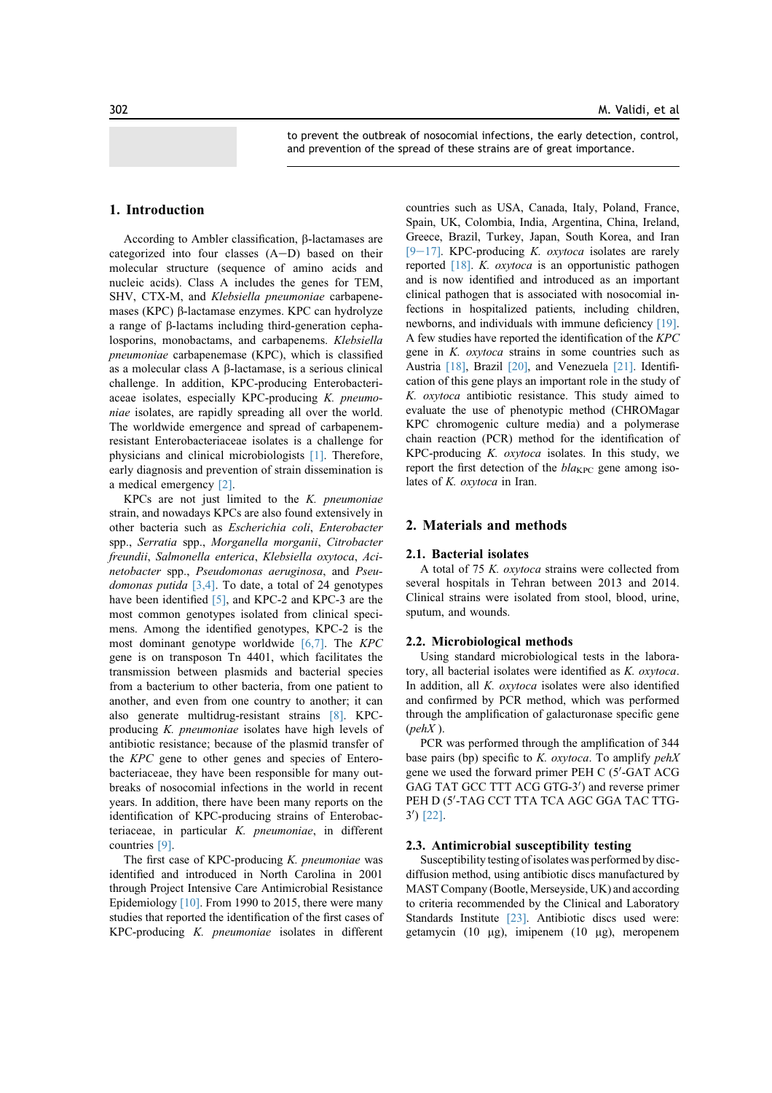to prevent the outbreak of nosocomial infections, the early detection, control, and prevention of the spread of these strains are of great importance.

## 1. Introduction

According to Ambler classification,  $\beta$ -lactamases are categorized into four classes  $(A-D)$  based on their molecular structure (sequence of amino acids and nucleic acids). Class A includes the genes for TEM, SHV, CTX-M, and Klebsiella pneumoniae carbapenemases (KPC)  $\beta$ -lactamase enzymes. KPC can hydrolyze a range of b-lactams including third-generation cephalosporins, monobactams, and carbapenems. Klebsiella pneumoniae carbapenemase (KPC), which is classified as a molecular class A b-lactamase, is a serious clinical challenge. In addition, KPC-producing Enterobacteriaceae isolates, especially KPC-producing K. pneumoniae isolates, are rapidly spreading all over the world. The worldwide emergence and spread of carbapenemresistant Enterobacteriaceae isolates is a challenge for physicians and clinical microbiologists [1]. Therefore, early diagnosis and prevention of strain dissemination is a medical emergency [2].

KPCs are not just limited to the  $K$ . pneumoniae strain, and nowadays KPCs are also found extensively in other bacteria such as Escherichia coli, Enterobacter spp., Serratia spp., Morganella morganii, Citrobacter freundii, Salmonella enterica, Klebsiella oxytoca, Acinetobacter spp., Pseudomonas aeruginosa, and Pseudomonas putida  $[3,4]$ . To date, a total of 24 genotypes have been identified [5], and KPC-2 and KPC-3 are the most common genotypes isolated from clinical specimens. Among the identified genotypes, KPC-2 is the most dominant genotype worldwide [6,7]. The KPC gene is on transposon Tn 4401, which facilitates the transmission between plasmids and bacterial species from a bacterium to other bacteria, from one patient to another, and even from one country to another; it can also generate multidrug-resistant strains [8]. KPCproducing K. pneumoniae isolates have high levels of antibiotic resistance; because of the plasmid transfer of the KPC gene to other genes and species of Enterobacteriaceae, they have been responsible for many outbreaks of nosocomial infections in the world in recent years. In addition, there have been many reports on the identification of KPC-producing strains of Enterobacteriaceae, in particular K. pneumoniae, in different countries [9].

The first case of KPC-producing  $K$ . pneumoniae was identified and introduced in North Carolina in 2001 through Project Intensive Care Antimicrobial Resistance Epidemiology [10]. From 1990 to 2015, there were many studies that reported the identification of the first cases of KPC-producing K. pneumoniae isolates in different

countries such as USA, Canada, Italy, Poland, France, Spain, UK, Colombia, India, Argentina, China, Ireland, Greece, Brazil, Turkey, Japan, South Korea, and Iran [9-17]. KPC-producing K. oxytoca isolates are rarely reported [18]. K. oxytoca is an opportunistic pathogen and is now identified and introduced as an important clinical pathogen that is associated with nosocomial infections in hospitalized patients, including children, newborns, and individuals with immune deficiency [19]. A few studies have reported the identification of the KPC gene in K. oxytoca strains in some countries such as Austria [18], Brazil [20], and Venezuela [21]. Identification of this gene plays an important role in the study of K. oxytoca antibiotic resistance. This study aimed to evaluate the use of phenotypic method (CHROMagar KPC chromogenic culture media) and a polymerase chain reaction (PCR) method for the identification of KPC-producing  $K.$  oxytoca isolates. In this study, we report the first detection of the  $bla_{\text{KPC}}$  gene among isolates of K. oxytoca in Iran.

## 2. Materials and methods

#### 2.1. Bacterial isolates

A total of 75 K. oxytoca strains were collected from several hospitals in Tehran between 2013 and 2014. Clinical strains were isolated from stool, blood, urine, sputum, and wounds.

#### 2.2. Microbiological methods

Using standard microbiological tests in the laboratory, all bacterial isolates were identified as K. oxytoca. In addition, all K. oxytoca isolates were also identified and confirmed by PCR method, which was performed through the amplification of galacturonase specific gene  $(\text{peh}X)$ .

PCR was performed through the amplification of 344 base pairs (bp) specific to  $K$ . oxytoca. To amplify pehX gene we used the forward primer PEH C (5'-GAT ACG GAG TAT GCC TTT ACG GTG-3') and reverse primer PEH D (5′-TAG CCT TTA TCA AGC GGA TAC TTG-3') [22].

#### 2.3. Antimicrobial susceptibility testing

Susceptibility testing of isolates was performed by discdiffusion method, using antibiotic discs manufactured by MAST Company (Bootle, Merseyside, UK) and according to criteria recommended by the Clinical and Laboratory Standards Institute [23]. Antibiotic discs used were: getamycin (10 mg), imipenem (10 mg), meropenem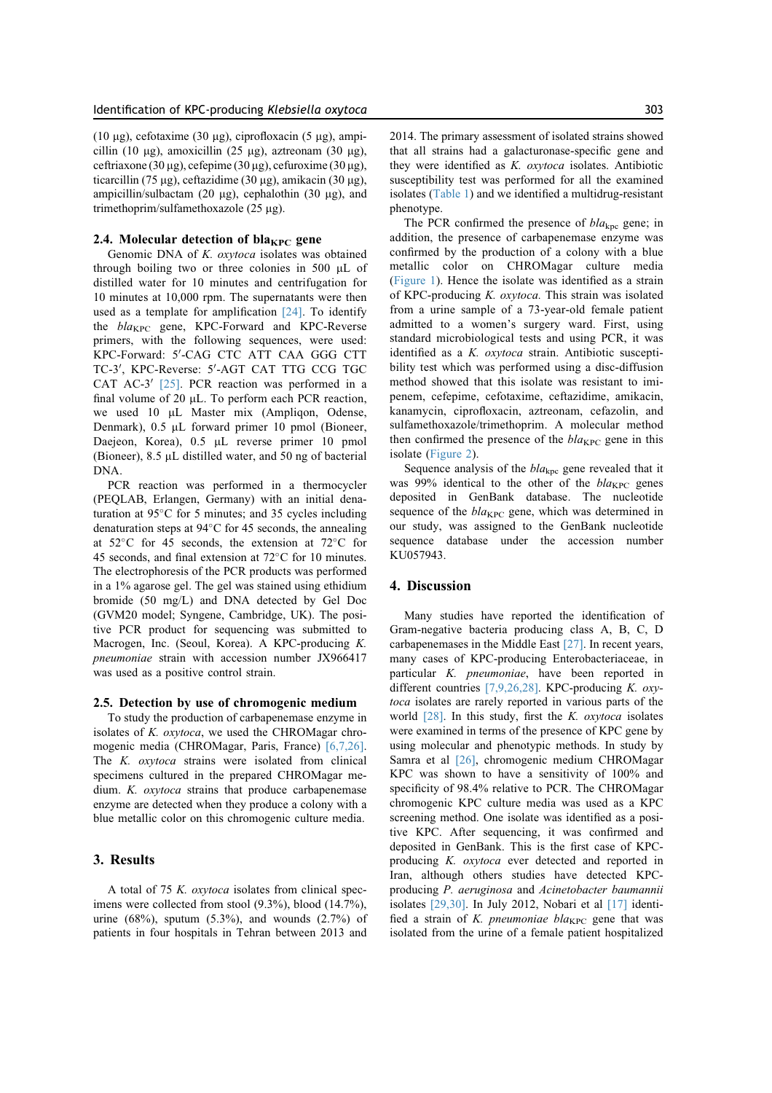(10  $\mu$ g), cefotaxime (30  $\mu$ g), ciprofloxacin (5  $\mu$ g), ampicillin (10  $\mu$ g), amoxicillin (25  $\mu$ g), aztreonam (30  $\mu$ g), ceftriaxone (30 µg), cefepime (30 µg), cefuroxime (30 µg), ticarcillin (75 µg), ceftazidime (30 µg), amikacin (30 µg), ampicillin/sulbactam (20  $\mu$ g), cephalothin (30  $\mu$ g), and trimethoprim/sulfamethoxazole (25 µg).

#### 2.4. Molecular detection of bla<sub>KPC</sub> gene

Genomic DNA of K. oxytoca isolates was obtained through boiling two or three colonies in 500 mL of distilled water for 10 minutes and centrifugation for 10 minutes at 10,000 rpm. The supernatants were then used as a template for amplification [24]. To identify the  $bla_{KPC}$  gene, KPC-Forward and KPC-Reverse primers, with the following sequences, were used: KPC-Forward: 5'-CAG CTC ATT CAA GGG CTT TC-3', KPC-Reverse: 5'-AGT CAT TTG CCG TGC CAT AC-3'  $[25]$ . PCR reaction was performed in a final volume of 20  $\mu$ L. To perform each PCR reaction, we used 10 µL Master mix (Ampliqon, Odense, Denmark),  $0.5$  µL forward primer 10 pmol (Bioneer, Daejeon, Korea), 0.5 µL reverse primer 10 pmol (Bioneer),  $8.5 \mu L$  distilled water, and  $50 \text{ ng of bacterial}$ DNA.

PCR reaction was performed in a thermocycler (PEQLAB, Erlangen, Germany) with an initial denaturation at  $95^{\circ}$ C for 5 minutes; and 35 cycles including denaturation steps at  $94^{\circ}$ C for 45 seconds, the annealing at  $52^{\circ}$ C for 45 seconds, the extension at  $72^{\circ}$ C for 45 seconds, and final extension at  $72^{\circ}$ C for 10 minutes. The electrophoresis of the PCR products was performed in a 1% agarose gel. The gel was stained using ethidium bromide (50 mg/L) and DNA detected by Gel Doc (GVM20 model; Syngene, Cambridge, UK). The positive PCR product for sequencing was submitted to Macrogen, Inc. (Seoul, Korea). A KPC-producing K. pneumoniae strain with accession number JX966417 was used as a positive control strain.

## 2.5. Detection by use of chromogenic medium

To study the production of carbapenemase enzyme in isolates of  $K$ .  $oxy to ca$ , we used the CHROMagar chromogenic media (CHROMagar, Paris, France) [6,7,26]. The K. oxytoca strains were isolated from clinical specimens cultured in the prepared CHROMagar medium. K. oxytoca strains that produce carbapenemase enzyme are detected when they produce a colony with a blue metallic color on this chromogenic culture media.

## 3. Results

A total of 75 K. oxytoca isolates from clinical specimens were collected from stool (9.3%), blood (14.7%), urine  $(68\%)$ , sputum  $(5.3\%)$ , and wounds  $(2.7\%)$  of patients in four hospitals in Tehran between 2013 and 2014. The primary assessment of isolated strains showed that all strains had a galacturonase-specific gene and they were identified as K. oxytoca isolates. Antibiotic susceptibility test was performed for all the examined isolates (Table 1) and we identified a multidrug-resistant phenotype.

The PCR confirmed the presence of  $bla_{\text{kpc}}$  gene; in addition, the presence of carbapenemase enzyme was confirmed by the production of a colony with a blue metallic color on CHROMagar culture media (Figure 1). Hence the isolate was identified as a strain of KPC-producing K. oxytoca. This strain was isolated from a urine sample of a 73-year-old female patient admitted to a women's surgery ward. First, using standard microbiological tests and using PCR, it was identified as a K. oxytoca strain. Antibiotic susceptibility test which was performed using a disc-diffusion method showed that this isolate was resistant to imipenem, cefepime, cefotaxime, ceftazidime, amikacin, kanamycin, ciprofloxacin, aztreonam, cefazolin, and sulfamethoxazole/trimethoprim. A molecular method then confirmed the presence of the  $bla_{KPC}$  gene in this isolate (Figure 2).

Sequence analysis of the  $bla<sub>kpc</sub>$  gene revealed that it was 99% identical to the other of the  $bla_{KPC}$  genes deposited in GenBank database. The nucleotide sequence of the  $bla_{KPC}$  gene, which was determined in our study, was assigned to the GenBank nucleotide sequence database under the accession number KU057943.

#### 4. Discussion

Many studies have reported the identification of Gram-negative bacteria producing class A, B, C, D carbapenemases in the Middle East [27]. In recent years, many cases of KPC-producing Enterobacteriaceae, in particular K. pneumoniae, have been reported in different countries [7,9,26,28]. KPC-producing K. oxytoca isolates are rarely reported in various parts of the world  $[28]$ . In this study, first the *K. oxytoca* isolates were examined in terms of the presence of KPC gene by using molecular and phenotypic methods. In study by Samra et al [26], chromogenic medium CHROMagar KPC was shown to have a sensitivity of 100% and specificity of 98.4% relative to PCR. The CHROMagar chromogenic KPC culture media was used as a KPC screening method. One isolate was identified as a positive KPC. After sequencing, it was confirmed and deposited in GenBank. This is the first case of KPCproducing K. oxytoca ever detected and reported in Iran, although others studies have detected KPCproducing P. aeruginosa and Acinetobacter baumannii isolates [29,30]. In July 2012, Nobari et al [17] identified a strain of K. pneumoniae  $bla_{\text{KPC}}$  gene that was isolated from the urine of a female patient hospitalized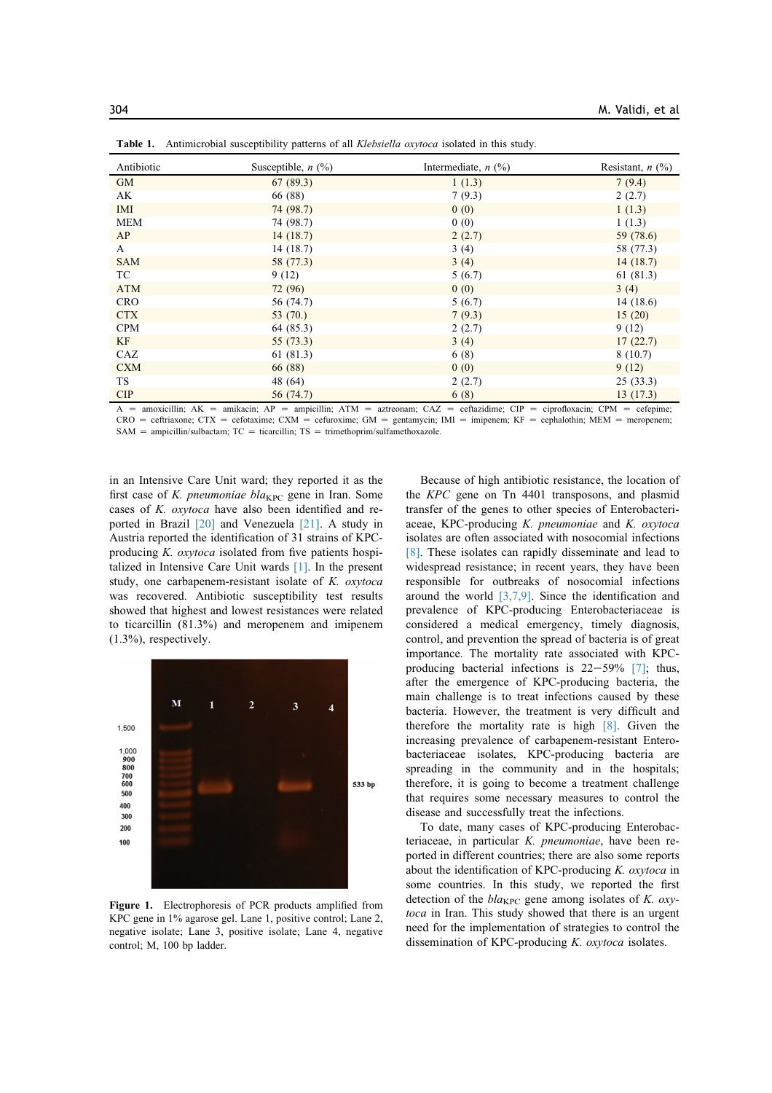| Antibiotic | Susceptible, $n$ (%) | Intermediate, $n$ (%) | Resistant, $n$ $(\%)$ |
|------------|----------------------|-----------------------|-----------------------|
| <b>GM</b>  | 67(89.3)             | 1(1.3)                | 7(9.4)                |
| AK         | 66 (88)              | 7(9.3)                | 2(2.7)                |
| <b>IMI</b> | 74 (98.7)            | 0(0)                  | 1(1.3)                |
| <b>MEM</b> | 74 (98.7)            | 0(0)                  | 1(1.3)                |
| AP         | 14(18.7)             | 2(2.7)                | 59 (78.6)             |
| A          | 14(18.7)             | 3(4)                  | 58 (77.3)             |
| <b>SAM</b> | 58 (77.3)            | 3(4)                  | 14(18.7)              |
| TC         | 9(12)                | 5(6.7)                | 61(81.3)              |
| <b>ATM</b> | 72(96)               | 0(0)                  | 3(4)                  |
| <b>CRO</b> | 56 (74.7)            | 5(6.7)                | 14(18.6)              |
| <b>CTX</b> | 53 $(70.)$           | 7(9.3)                | 15(20)                |
| <b>CPM</b> | 64 (85.3)            | 2(2.7)                | 9(12)                 |
| KF         | 55(73.3)             | 3(4)                  | 17(22.7)              |
| CAZ        | 61(81.3)             | 6(8)                  | 8(10.7)               |
| <b>CXM</b> | 66 (88)              | 0(0)                  | 9(12)                 |
| TS.        | 48 (64)              | 2(2.7)                | 25(33.3)              |
| <b>CIP</b> | 56 (74.7)            | 6(8)                  | 13(17.3)              |

Table 1. Antimicrobial susceptibility patterns of all *Klebsiella oxytoca* isolated in this study.

 $A =$  amoxicillin;  $AK =$  amikacin;  $AP =$  ampicillin;  $ATM =$  aztreonam;  $CAZ =$  ceftazidime;  $CIP =$  ciprofloxacin;  $CPM =$  cefepime;  $CRO =$  ceftriaxone;  $CTX =$  cefotaxime;  $CXM =$  cefuroxime;  $GM =$  gentamycin;  $IM =$  imipenem;  $KF =$  cephalothin;  $MEM =$  meropenem;  $SAM = ampicillin/sulbactam; TC = ticarcillin; TS = trimethoprim/sulfamethoxazole.$ 

in an Intensive Care Unit ward; they reported it as the first case of K. pneumoniae bla<sub>KPC</sub> gene in Iran. Some cases of K. oxytoca have also been identified and reported in Brazil [20] and Venezuela [21]. A study in Austria reported the identification of 31 strains of KPCproducing K. oxytoca isolated from five patients hospitalized in Intensive Care Unit wards [1]. In the present study, one carbapenem-resistant isolate of K. oxytoca was recovered. Antibiotic susceptibility test results showed that highest and lowest resistances were related to ticarcillin (81.3%) and meropenem and imipenem (1.3%), respectively.



Figure 1. Electrophoresis of PCR products amplified from KPC gene in 1% agarose gel. Lane 1, positive control; Lane 2, negative isolate; Lane 3, positive isolate; Lane 4, negative control; M, 100 bp ladder.

Because of high antibiotic resistance, the location of the KPC gene on Tn 4401 transposons, and plasmid transfer of the genes to other species of Enterobacteriaceae, KPC-producing K. pneumoniae and K. oxytoca isolates are often associated with nosocomial infections [8]. These isolates can rapidly disseminate and lead to widespread resistance; in recent years, they have been responsible for outbreaks of nosocomial infections around the world  $[3,7,9]$ . Since the identification and prevalence of KPC-producing Enterobacteriaceae is considered a medical emergency, timely diagnosis, control, and prevention the spread of bacteria is of great importance. The mortality rate associated with KPCproducing bacterial infections is  $22-59\%$  [7]; thus, after the emergence of KPC-producing bacteria, the main challenge is to treat infections caused by these bacteria. However, the treatment is very difficult and therefore the mortality rate is high [8]. Given the increasing prevalence of carbapenem-resistant Enterobacteriaceae isolates, KPC-producing bacteria are spreading in the community and in the hospitals; therefore, it is going to become a treatment challenge that requires some necessary measures to control the disease and successfully treat the infections.

To date, many cases of KPC-producing Enterobacteriaceae, in particular K. *pneumoniae*, have been reported in different countries; there are also some reports about the identification of KPC-producing  $K$ . oxytoca in some countries. In this study, we reported the first detection of the  $bla_{KPC}$  gene among isolates of K. oxytoca in Iran. This study showed that there is an urgent need for the implementation of strategies to control the dissemination of KPC-producing K. oxytoca isolates.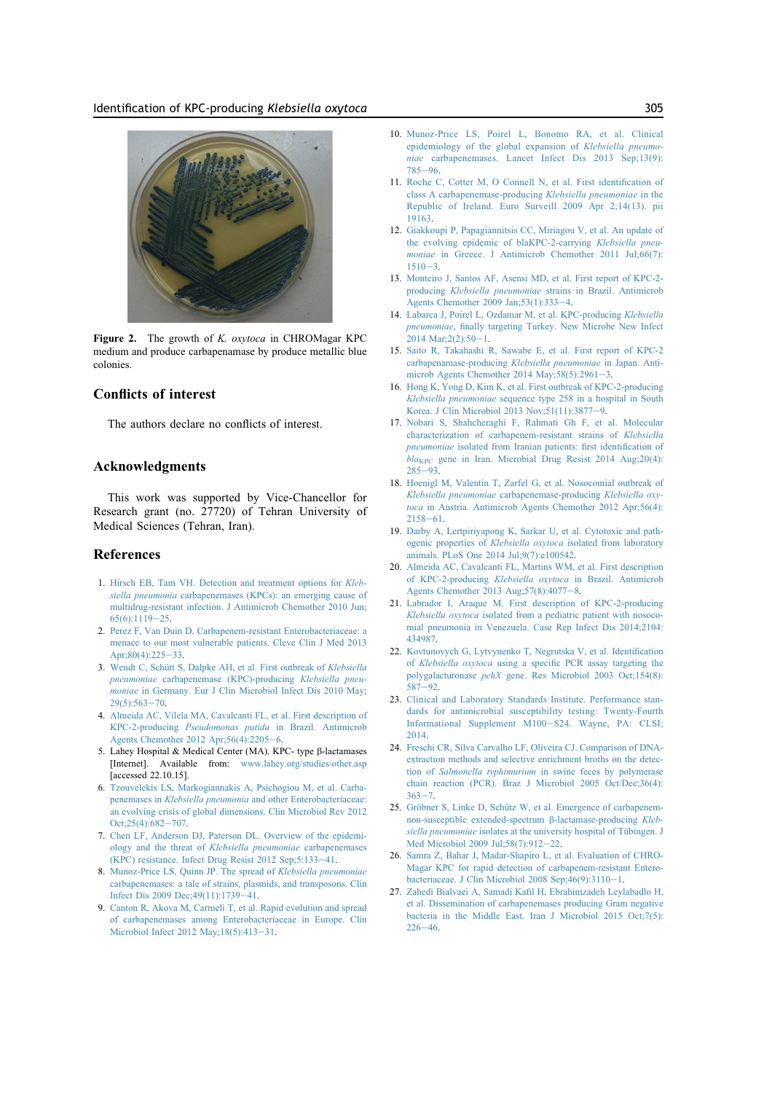

Figure 2. The growth of K. *oxytoca* in CHROMagar KPC medium and produce carbapenamase by produce metallic blue colonies.

# Conflicts of interest

The authors declare no conflicts of interest.

## Acknowledgments

This work was supported by Vice-Chancellor for Research grant (no. 27720) of Tehran University of Medical Sciences (Tehran, Iran).

## References

- 1. [Hirsch EB, Tam VH. Detection and treatment options for](http://refhub.elsevier.com/S2210-9099(16)30122-9/sref1) Klebsiella pneumonia [carbapenemases \(KPCs\): an emerging cause of](http://refhub.elsevier.com/S2210-9099(16)30122-9/sref1) [multidrug-resistant infection. J Antimicrob Chemother 2010 Jun;](http://refhub.elsevier.com/S2210-9099(16)30122-9/sref1)  $65(6):1119-25.$  $65(6):1119-25.$  $65(6):1119-25.$  $65(6):1119-25.$
- 2. [Perez F, Van Duin D. Carbapenem-resistant Enterobacteriaceae: a](http://refhub.elsevier.com/S2210-9099(16)30122-9/sref2) [menace to our most vulnerable patients. Cleve Clin J Med 2013](http://refhub.elsevier.com/S2210-9099(16)30122-9/sref2) Apr; $80(4)$ : $225-33$  $225-33$ .
- 3. Wendt C, Schütt S, Dalpke AH, et al. First outbreak of Klebsiella pneumoniae [carbapenemase \(KPC\)-producing](http://refhub.elsevier.com/S2210-9099(16)30122-9/sref3) Klebsiella pneumoniae [in Germany. Eur J Clin Microbiol Infect Dis 2010 May;](http://refhub.elsevier.com/S2210-9099(16)30122-9/sref3)  $29(5):563 - 70.$  $29(5):563 - 70.$  $29(5):563 - 70.$  $29(5):563 - 70.$
- 4. [Almeida AC, Vilela MA, Cavalcanti FL, et al. First description of](http://refhub.elsevier.com/S2210-9099(16)30122-9/sref4) KPC-2-producing Pseudomonas putida [in Brazil. Antimicrob](http://refhub.elsevier.com/S2210-9099(16)30122-9/sref4) Agents Chemother 2012 Apr;  $56(4)$  $56(4)$  $56(4)$ :  $2205-6$ .
- 5. Lahey Hospital & Medical Center (MA). KPC- type b-lactamases [Internet]. Available from: [www.lahey.org/studies/other.asp](http://www.lahey.org/studies/other.asp) [accessed 22.10.15].
- 6. [Tzouvelekis LS, Markogiannakis A, Psichogiou M, et al. Carba](http://refhub.elsevier.com/S2210-9099(16)30122-9/sref6)penemases in Klebsiella pneumonia [and other Enterobacteriaceae:](http://refhub.elsevier.com/S2210-9099(16)30122-9/sref6) [an evolving crisis of global dimensions. Clin Microbiol Rev 2012](http://refhub.elsevier.com/S2210-9099(16)30122-9/sref6)  $Oct:25(4):682-707$  $Oct:25(4):682-707$
- 7. [Chen LF, Anderson DJ, Paterson DL. Overview of the epidemi](http://refhub.elsevier.com/S2210-9099(16)30122-9/sref7)[ology and the threat of](http://refhub.elsevier.com/S2210-9099(16)30122-9/sref7) Klebsiella pneumoniae carbapenemases  $(KPC)$  resistance. Infect Drug Resist 2012 Sep;5:133-[41](http://refhub.elsevier.com/S2210-9099(16)30122-9/sref7).
- 8. [Munoz-Price LS, Quinn JP. The spread of](http://refhub.elsevier.com/S2210-9099(16)30122-9/sref8) Klebsiella pneumoniae [carbapenemases: a tale of strains, plasmids, and transposons. Clin](http://refhub.elsevier.com/S2210-9099(16)30122-9/sref8) Infect Dis 2009 Dec; 49(11): 1739-[41](http://refhub.elsevier.com/S2210-9099(16)30122-9/sref8).
- 9. [Canton R, Akova M, Carmeli T, et al. Rapid evolution and spread](http://refhub.elsevier.com/S2210-9099(16)30122-9/sref9) [of carbapenemases among Enterobacteriaceae in Europe. Clin](http://refhub.elsevier.com/S2210-9099(16)30122-9/sref9) Microbiol Infect 2012 May; 18(5): 413-[31](http://refhub.elsevier.com/S2210-9099(16)30122-9/sref9).
- 10. [Munoz-Price LS, Poirel L, Bonomo RA, et al. Clinical](http://refhub.elsevier.com/S2210-9099(16)30122-9/sref10) [epidemiology of the global expansion of](http://refhub.elsevier.com/S2210-9099(16)30122-9/sref10) Klebsiella pneumoniae [carbapenemases. Lancet Infect Dis 2013 Sep;13\(9\):](http://refhub.elsevier.com/S2210-9099(16)30122-9/sref10) [785](http://refhub.elsevier.com/S2210-9099(16)30122-9/sref10)-[96](http://refhub.elsevier.com/S2210-9099(16)30122-9/sref10)
- 11. [Roche C, Cotter M, O Connell N, et al. First identification of](http://refhub.elsevier.com/S2210-9099(16)30122-9/sref11) [class A carbapenemase-producing](http://refhub.elsevier.com/S2210-9099(16)30122-9/sref11) Klebsiella pneumoniae in the [Republic of Ireland. Euro Surveill 2009 Apr 2;14\(13\). pii](http://refhub.elsevier.com/S2210-9099(16)30122-9/sref11) [19163](http://refhub.elsevier.com/S2210-9099(16)30122-9/sref11).
- 12. [Giakkoupi P, Papagiannitsis CC, Miriagou V, et al. An update of](http://refhub.elsevier.com/S2210-9099(16)30122-9/sref12) [the evolving epidemic of blaKPC-2-carrying](http://refhub.elsevier.com/S2210-9099(16)30122-9/sref12) Klebsiella pneumoniae [in Greece. J Antimicrob Chemother 2011 Jul;66\(7\):](http://refhub.elsevier.com/S2210-9099(16)30122-9/sref12)  $1510 - 3$  $1510 - 3$  $1510 - 3$ .
- 13. [Monteiro J, Santos AF, Asensi MD, et al. First report of KPC-2](http://refhub.elsevier.com/S2210-9099(16)30122-9/sref13) producing Klebsiella pneumoniae [strains in Brazil. Antimicrob](http://refhub.elsevier.com/S2210-9099(16)30122-9/sref13) Agents Chemother 2009 Jan; 53(1): 333-[4](http://refhub.elsevier.com/S2210-9099(16)30122-9/sref13).
- 14. [Labarca J, Poirel L, Ozdamar M, et al. KPC-producing](http://refhub.elsevier.com/S2210-9099(16)30122-9/sref14) Klebsiella pneumoniae[, finally targeting Turkey. New Microbe New Infect](http://refhub.elsevier.com/S2210-9099(16)30122-9/sref14)  $2014 \text{ Mar} \cdot 2(2) \cdot 50 - 1$  $2014 \text{ Mar} \cdot 2(2) \cdot 50 - 1$  $2014 \text{ Mar} \cdot 2(2) \cdot 50 - 1$ .
- 15. [Saito R, Takahashi R, Sawabe E, et al. First report of KPC-2](http://refhub.elsevier.com/S2210-9099(16)30122-9/sref15) [carbapenamase-producing](http://refhub.elsevier.com/S2210-9099(16)30122-9/sref15) Klebsiella pneumoniae in Japan. Antimicrob Agents Chemother 2014 May;  $58(5)$ :  $2961-3$  $2961-3$ .
- 16. [Hong K, Yong D, Kim K, et al. First outbreak of KPC-2-producing](http://refhub.elsevier.com/S2210-9099(16)30122-9/sref16) Klebsiella pneumoniae [sequence type 258 in a hospital in South](http://refhub.elsevier.com/S2210-9099(16)30122-9/sref16) Korea. J Clin Microbiol 2013 Nov; 51(11): 3877-[9](http://refhub.elsevier.com/S2210-9099(16)30122-9/sref16).
- 17. [Nobari S, Shahcheraghi F, Rahmati Gh F, et al. Molecular](http://refhub.elsevier.com/S2210-9099(16)30122-9/sref17) [characterization of carbapenem-resistant strains of](http://refhub.elsevier.com/S2210-9099(16)30122-9/sref17) Klebsiella pneumoniae [isolated from Iranian patients: first identification of](http://refhub.elsevier.com/S2210-9099(16)30122-9/sref17)  $bla_{KPC}$  $bla_{KPC}$  $bla_{KPC}$  gene in Iran. Microbial Drug Resist 2014 Aug; 20(4):  $285 - 93$  $285 - 93$  $285 - 93$ .
- 18. [Hoenigl M, Valentin T, Zarfel G, et al. Nosocomial outbreak of](http://refhub.elsevier.com/S2210-9099(16)30122-9/sref18) Klebsiella pneumoniae [carbapenemase-producing](http://refhub.elsevier.com/S2210-9099(16)30122-9/sref18) Klebsiella oxytoca [in Austria. Antimicrob Agents Chemother 2012 Apr;56\(4\):](http://refhub.elsevier.com/S2210-9099(16)30122-9/sref18)  $2158 - 61$  $2158 - 61$  $2158 - 61$ .
- 19. [Darby A, Lertpiriyapong K, Sarkar U, et al. Cytotoxic and path](http://refhub.elsevier.com/S2210-9099(16)30122-9/sref19)ogenic properties of Klebsiella oxytoca [isolated from laboratory](http://refhub.elsevier.com/S2210-9099(16)30122-9/sref19) [animals. PLoS One 2014 Jul;9\(7\):e100542](http://refhub.elsevier.com/S2210-9099(16)30122-9/sref19).
- 20. [Almeida AC, Cavalcanti FL, Martins WM, et al. First description](http://refhub.elsevier.com/S2210-9099(16)30122-9/sref20) of KPC-2-producing Klebsiella oxytoca [in Brazil. Antimicrob](http://refhub.elsevier.com/S2210-9099(16)30122-9/sref20) Agents Chemother 2013 Aug:  $57(8)$  $57(8)$  $57(8)$ :  $4077-8$ .
- 21. [Labrador I, Araque M. First description of KPC-2-producing](http://refhub.elsevier.com/S2210-9099(16)30122-9/sref21) Klebsiella oxytoca [isolated from a pediatric patient with nosoco](http://refhub.elsevier.com/S2210-9099(16)30122-9/sref21)[mial pneumonia in Venezuela. Case Rep Infect Dis 2014;2104:](http://refhub.elsevier.com/S2210-9099(16)30122-9/sref21) [434987](http://refhub.elsevier.com/S2210-9099(16)30122-9/sref21).
- 22. [Kovtunovych G, Lytvynenko T, Negrutska V, et al. Identification](http://refhub.elsevier.com/S2210-9099(16)30122-9/sref22) of Klebsiella oxytoca [using a specific PCR assay targeting the](http://refhub.elsevier.com/S2210-9099(16)30122-9/sref22) polygalacturonase pehX [gene. Res Microbiol 2003 Oct;154\(8\):](http://refhub.elsevier.com/S2210-9099(16)30122-9/sref22)  $587 - 92.$  $587 - 92.$  $587 - 92.$  $587 - 92.$
- 23. [Clinical and Laboratory Standards Institute. Performance stan](http://refhub.elsevier.com/S2210-9099(16)30122-9/sref23)[dards for antimicrobial susceptibility testing: Twenty-Fourth](http://refhub.elsevier.com/S2210-9099(16)30122-9/sref23) [Informational Supplement M100](http://refhub.elsevier.com/S2210-9099(16)30122-9/sref23)-[S24. Wayne, PA: CLSI;](http://refhub.elsevier.com/S2210-9099(16)30122-9/sref23) [2014](http://refhub.elsevier.com/S2210-9099(16)30122-9/sref23).
- 24. [Freschi CR, Silva Carvalho LF, Oliveira CJ. Comparison of DNA](http://refhub.elsevier.com/S2210-9099(16)30122-9/sref24)[extraction methods and selective enrichment broths on the detec](http://refhub.elsevier.com/S2210-9099(16)30122-9/sref24)tion of Salmonella typhimurium [in swine feces by polymerase](http://refhub.elsevier.com/S2210-9099(16)30122-9/sref24) [chain reaction \(PCR\). Braz J Microbiol 2005 Oct/Dec;36\(4\):](http://refhub.elsevier.com/S2210-9099(16)30122-9/sref24)  $363 - 7$  $363 - 7$  $363 - 7$
- 25. Gröbner S, Linke D, Schütz W, et al. Emergence of carbapenem[non-susceptible extended-spectrum](http://refhub.elsevier.com/S2210-9099(16)30122-9/sref25)  $\beta$ -lactamase-producing Klebsiella pneumoniae isolates at the university hospital of Tübingen. J Med Microbiol 2009 Jul:58(7):912-[22](http://refhub.elsevier.com/S2210-9099(16)30122-9/sref25).
- 26. [Samra Z, Bahar J, Madar-Shapiro L, et al. Evaluation of CHRO-](http://refhub.elsevier.com/S2210-9099(16)30122-9/sref26)[Magar KPC for rapid detection of carbapenem-resistant Entero](http://refhub.elsevier.com/S2210-9099(16)30122-9/sref26)bacteriaceae. J Clin Microbiol 2008 Sep: $46(9)$ : $3110-1$  $3110-1$  $3110-1$ .
- 27. [Zahedi Bialvaei A, Samadi Kafil H, Ebrahimzadeh Leylabadlo H,](http://refhub.elsevier.com/S2210-9099(16)30122-9/sref27) [et al. Dissemination of carbapenemases producing Gram negative](http://refhub.elsevier.com/S2210-9099(16)30122-9/sref27) [bacteria in the Middle East. Iran J Microbiol 2015 Oct;7\(5\):](http://refhub.elsevier.com/S2210-9099(16)30122-9/sref27)  $226 - 46.$  $226 - 46.$  $226 - 46.$  $226 - 46.$